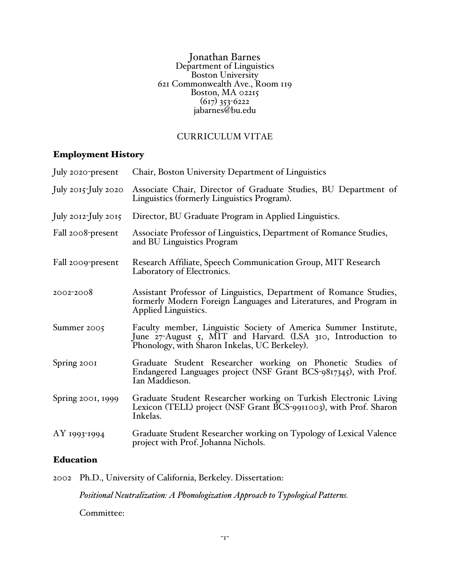Jonathan Barnes Department of Linguistics Boston University<br>621 Commonwealth Ave., Room 119 Boston, MA 02215  $(617)$  353-6222 jabarnes@bu.edu

## CURRICULUM VITAE

# Employment History

| July 2020-present        | Chair, Boston University Department of Linguistics                                                                                                                               |
|--------------------------|----------------------------------------------------------------------------------------------------------------------------------------------------------------------------------|
| July $2015$ -July $2020$ | Associate Chair, Director of Graduate Studies, BU Department of<br>Linguistics (formerly Linguistics Program).                                                                   |
| July 2012-July 2015      | Director, BU Graduate Program in Applied Linguistics.                                                                                                                            |
| Fall 2008-present        | Associate Professor of Linguistics, Department of Romance Studies,<br>and BU Linguistics Program                                                                                 |
| Fall 2009-present        | Research Affiliate, Speech Communication Group, MIT Research<br>Laboratory of Electronics.                                                                                       |
| 2002-2008                | Assistant Professor of Linguistics, Department of Romance Studies,<br>formerly Modern Foreign Languages and Literatures, and Program in<br>Applied Linguistics.                  |
| Summer 2005              | Faculty member, Linguistic Society of America Summer Institute,<br>June 27-August 5, MIT and Harvard. (LSA 310, Introduction to<br>Phonology, with Sharon Inkelas, UC Berkeley). |
| Spring 2001              | Graduate Student Researcher working on Phonetic Studies of<br>Endangered Languages project (NSF Grant BCS-9817345), with Prof.<br>Ian Maddieson.                                 |
| Spring 2001, 1999        | Graduate Student Researcher working on Turkish Electronic Living<br>Lexicon (TELL) project (NSF Grant BCS-9911003), with Prof. Sharon<br>Inkelas.                                |
| AY 1993-1994             | Graduate Student Researcher working on Typology of Lexical Valence<br>project with Prof. Johanna Nichols.                                                                        |

## Education

2002 Ph.D., University of California, Berkeley. Dissertation:

*Positional Neutralization: A Phonologization Approach to Typological Patterns.*

Committee: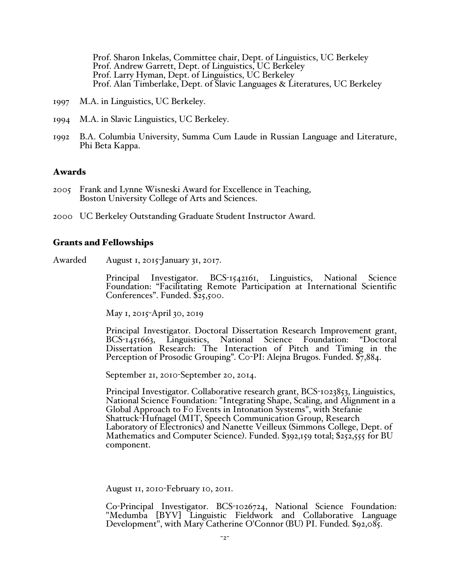Prof. Sharon Inkelas, Committee chair, Dept. of Linguistics, UC Berkeley Prof. Andrew Garrett, Dept. of Linguistics, UC Berkeley Prof. Larry Hyman, Dept. of Linguistics, UC Berkeley Prof. Alan Timberlake, Dept. of Slavic Languages & Literatures, UC Berkeley

- 1997 M.A. in Linguistics, UC Berkeley.
- 1994 M.A. in Slavic Linguistics, UC Berkeley.
- 1992 B.A. Columbia University, Summa Cum Laude in Russian Language and Literature, Phi Beta Kappa.

### Awards

- 2005 Frank and Lynne Wisneski Award for Excellence in Teaching, Boston University College of Arts and Sciences.
- 2000 UC Berkeley Outstanding Graduate Student Instructor Award.

### Grants and Fellowships

Awarded August 1, 2015-January 31, 2017.

Principal Investigator. BCS-1542161, Linguistics, National Science Foundation: "Facilitating Remote Participation at International Scientific Conferences". Funded. \$25,500.

May 1, 2015-April 30, 2019

Principal Investigator. Doctoral Dissertation Research Improvement grant, BCS-1451663, Linguistics, National Science Foundation: "Doctoral Dissertation Research: The Interaction of Pitch and Timing in the Perception of Prosodic Grouping". Co-PI: Alejna Brugos. Funded. \$7,884.

September 21, 2010-September 20, 2014.

Principal Investigator. Collaborative research grant, BCS-1023853, Linguistics, National Science Foundation: "Integrating Shape, Scaling, and Alignment in a Global Approach to F0 Events in Intonation Systems", with Stefanie Shattuck-Hufnagel (MIT, Speech Communication Group, Research Laboratory of Electronics) and Nanette Veilleux (Simmons College, Dept. of Mathematics and Computer Science). Funded. \$392,159 total; \$252,555 for BU component.

August 11, 2010-February 10, 2011.

Co-Principal Investigator. BCS-1026724, National Science Foundation: "Medumba [BYV] Linguistic Fieldwork and Collaborative Language Development", with Mary Catherine O'Connor (BU) PI. Funded. \$92,085.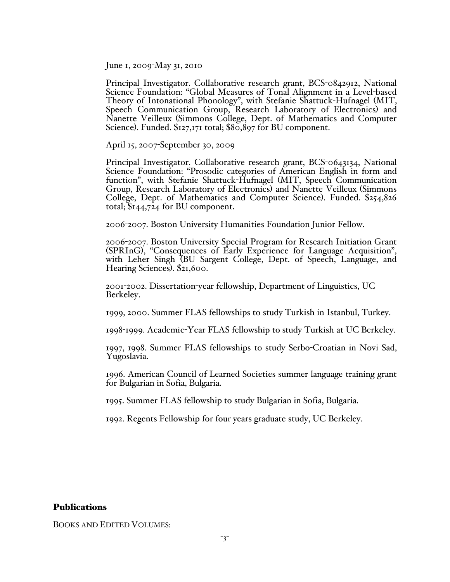June 1, 2009-May 31, 2010

Principal Investigator. Collaborative research grant, BCS-0842912, National Science Foundation: "Global Measures of Tonal Alignment in a Level-based Theory of Intonational Phonology", with Stefanie Shattuck-Hufnagel (MIT, Speech Communication Group, Research Laboratory of Electronics) and Nanette Veilleux (Simmons College, Dept. of Mathematics and Computer Science). Funded. \$127,171 total; \$80,897 for BU component.

April 15, 2007-September 30, 2009

Principal Investigator. Collaborative research grant, BCS-0643134, National Science Foundation: "Prosodic categories of American English in form and function", with Stefanie Shattuck-Hufnagel (MIT, Speech Communication Group, Research Laboratory of Electronics) and Nanette Veilleux (Simmons College, Dept. of Mathematics and Computer Science). Funded. \$254,826 total; \$144,724 for BU component.

2006-2007. Boston University Humanities Foundation Junior Fellow.

<sup>2006</sup>-2007. Boston University Special Program for Research Initiation Grant (SPRInG), "Consequences of Early Experience for Language Acquisition", with Leher Singh (BU Sargent College, Dept. of Speech, Language, and Hearing Sciences). \$21,600.

<sup>2001</sup>-2002. Dissertation-year fellowship, Department of Linguistics, UC Berkeley.

1999, 2000. Summer FLAS fellowships to study Turkish in Istanbul, Turkey.

1998-1999. Academic-Year FLAS fellowship to study Turkish at UC Berkeley.

1997, 1998. Summer FLAS fellowships to study Serbo-Croatian in Novi Sad, Yugoslavia.

1996. American Council of Learned Societies summer language training grant for Bulgarian in Sofia, Bulgaria.

1995. Summer FLAS fellowship to study Bulgarian in Sofia, Bulgaria.

1992. Regents Fellowship for four years graduate study, UC Berkeley.

### Publications

BOOKS AND EDITED VOLUMES: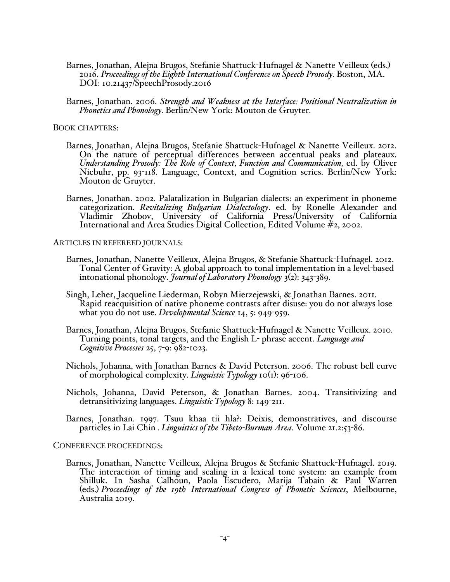- Barnes, Jonathan, Alejna Brugos, Stefanie Shattuck-Hufnagel & Nanette Veilleux (eds.) 2016. *Proceedings of the Eighth International Conference on Speech Prosody.* Boston, MA. DOI: 10.21437/SpeechProsody.2016
- Barnes, Jonathan. 2006. *Strength and Weakness at the Interface: Positional Neutralization in Phonetics and Phonology.* Berlin/New York: Mouton de Gruyter.

BOOK CHAPTERS:

- Barnes, Jonathan, Alejna Brugos, Stefanie Shattuck-Hufnagel & Nanette Veilleux. 2012. On the nature of perceptual differences between accentual peaks and plateaux. *Understanding Prosody: The Role of Context, Function and Communication, ed. by Oliver* Niebuhr, pp. 93-118. Language, Context, and Cognition series. Berlin/New York: Mouton de Gruyter.
- Barnes, Jonathan. 2002. Palatalization in Bulgarian dialects: an experiment in phoneme categorization. *Revitalizing Bulgarian Dialectology*. ed. by Ronelle Alexander and Vladimir Zhobov, University of California Press/University of California International and Area Studies Digital Collection, Edited Volume #2, 2002.

ARTICLES IN REFEREED JOURNALS:

- Barnes, Jonathan, Nanette Veilleux, Alejna Brugos, & Stefanie Shattuck-Hufnagel. 2012. Tonal Center of Gravity: A global approach to tonal implementation in a level-based intonational phonology. *Journal of Laboratory Phonology* 3(2): 343-389.
- Singh, Leher, Jacqueline Liederman, Robyn Mierzejewski, & Jonathan Barnes. 2011. Rapid reacquisition of native phoneme contrasts after disuse: you do not always lose what you do not use. *Developmental Science* 14, 5: 949-959.
- Barnes, Jonathan, Alejna Brugos, Stefanie Shattuck-Hufnagel & Nanette Veilleux. 2010*.*  Turning points, tonal targets, and the English L- phrase accent. *Language and Cognitive Processes* 25, 7-9: 982-1023.
- Nichols, Johanna, with Jonathan Barnes & David Peterson. 2006. The robust bell curve of morphological complexity. *Linguistic Typology* 10(1): 96-106.
- Nichols, Johanna, David Peterson, & Jonathan Barnes. 2004. Transitivizing and detransitivizing languages. *Linguistic Typology* 8: 149-211.

Barnes, Jonathan. 1997. Tsuu khaa tii hla?: Deixis, demonstratives, and discourse particles in Lai Chin . *Linguistics of the Tibeto-Burman Area*. Volume 21.2:53-86.

CONFERENCE PROCEEDINGS:

Barnes, Jonathan, Nanette Veilleux, Alejna Brugos & Stefanie Shattuck-Hufnagel. 2019. The interaction of timing and scaling in a lexical tone system: an example from Shilluk. In Sasha Calhoun, Paola Escudero, Marija Tabain & Paul Warren (eds.) *Proceedings of the 19th International Congress of Phonetic Sciences*, Melbourne, Australia 2019.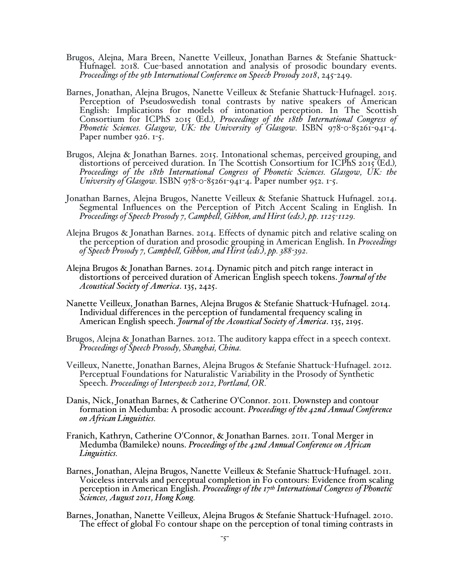- Brugos, Alejna, Mara Breen, Nanette Veilleux, Jonathan Barnes & Stefanie Shattuck- Hufnagel. 2018. Cue-based annotation and analysis of prosodic boundary events. *Proceedings of the 9th International Conference on Speech Prosody 2018*, 245-249.
- Barnes, Jonathan, Alejna Brugos, Nanette Veilleux & Stefanie Shattuck-Hufnagel. 2015. Perception of Pseudoswedish tonal contrasts by native speakers of American English: Implications for models of intonation perception. In The Scottish Consortium for ICPhS 2015 (Ed.)*, Proceedings of the 18th International Congress of Phonetic Sciences. Glasgow, UK: the University of Glasgow.* ISBN 978-0-85261-941-4. Paper number 926. 1-5.
- Brugos, Alejna & Jonathan Barnes. 2015. Intonational schemas, perceived grouping, and distortions of perceived duration. In The Scottish Consortium for ICPhS 2015 (Ed.)*, Proceedings of the 18th International Congress of Phonetic Sciences. Glasgow, UK: the University of Glasgow.* ISBN 978-0-85261-941-4. Paper number 952. 1-5.
- Jonathan Barnes, Alejna Brugos, Nanette Veilleux & Stefanie Shattuck Hufnagel. 2014. Segmental Influences on the Perception of Pitch Accent Scaling in English. In *Proceedings of Speech Prosody 7, Campbell, Gibbon, and Hirst (eds.), pp. 1125-1129.*
- Alejna Brugos & Jonathan Barnes. 2014. Effects of dynamic pitch and relative scaling on the perception of duration and prosodic grouping in American English. In *Proceedings* of *Speech Prosody 7, Campbell, Gibbon, and Hir*
- Alejna Brugos & Jonathan Barnes. 2014. Dynamic pitch and pitch range interact in distortions of perceived duration of American English speech tokens. *Journal of the Acoustical Society of America*. 135, 2425.
- Nanette Veilleux, Jonathan Barnes, Alejna Brugos & Stefanie Shattuck-Hufnagel. 2014. Individual differences in the perception of fundamental frequency scaling in American English speech. *Journal of the Acoustical Society of America*. 135, 2195.
- Brugos, Alejna & Jonathan Barnes. 2012. The auditory kappa effect in a speech context. *Proceedings of Speech Prosody, Shanghai, China.*
- Veilleux, Nanette, Jonathan Barnes, Alejna Brugos & Stefanie Shattuck-Hufnagel. 2012. Perceptual Foundations for Naturalistic Variability in the Prosody of Synthetic Speech. *Proceedings of Interspeech 2012, Portland, OR.*
- Danis, Nick, Jonathan Barnes, & Catherine O'Connor. 2011. Downstep and contour formation in Medumba: A prosodic account. *Proceedings of the 42nd Annual Conference on African Linguistics.*
- Franich, Kathryn, Catherine O'Connor, & Jonathan Barnes. 2011. Tonal Merger in Medumba (Bamileke) nouns. *Proceedings of the 42nd Annual Conference on African Linguistics.*
- Barnes, Jonathan, Alejna Brugos, Nanette Veilleux & Stefanie Shattuck-Hufnagel. 2011. Voiceless intervals and perceptual completion in Fo contours: Evidence from scaling perception in American English. *Proceedings of the 17th International Congress of Phonetic Sciences, August 2011, Hong Kong.*
- Barnes, Jonathan, Nanette Veilleux, Alejna Brugos & Stefanie Shattuck-Hufnagel. 2010. The effect of global Fo contour shape on the perception of tonal timing contrasts in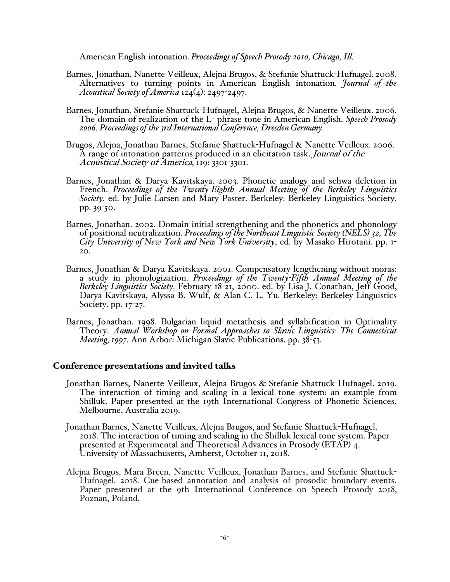American English intonation. *Proceedings of Speech Prosody 2010, Chicago, Ill.*

- Barnes, Jonathan, Nanette Veilleux, Alejna Brugos, & Stefanie Shattuck-Hufnagel. 2008. Alternatives to turning points in American English intonation. *Journal of the Acoustical Society of America* 124(4): 2497-2497.
- Barnes, Jonathan, Stefanie Shattuck-Hufnagel, Alejna Brugos, & Nanette Veilleux. 2006. The domain of realization of the L- phrase tone in American English. *Speech Prosody 2006. Proceedings of the 3rd International Conference, Dresden Germany.*
- Brugos, Alejna, Jonathan Barnes, Stefanie Shattuck-Hufnagel & Nanette Veilleux. 2006. A range of intonation patterns produced in an elicitation task. Journal of the Acoustical Society of America, 119: 3301-3301.
- Barnes, Jonathan & Darya Kavitskaya. 2003. Phonetic analogy and schwa deletion in French. *Proceedings of the Twenty-Eighth Annual Meeting of the Berkeley Linguistics Society.* ed. by Julie Larsen and Mary Paster. Berkeley: Berkeley Linguistics Society. pp. 39-50.
- Barnes, Jonathan. 2002. Domain-initial strengthening and the phonetics and phonology of positional neutralization. *Proceedings of the Northeast Linguistic Society (NELS) 32, The City University of New York and New York University*, ed. by Masako Hirotani. pp. 1- 20.
- Barnes, Jonathan & Darya Kavitskaya. 2001. Compensatory lengthening without moras: a study in phonologization. *Proceedings of the Twenty-Fifth Annual Meeting of the Berkeley Linguistics Society,* February 18-21, 2000. ed. by Lisa J. Conathan, Jeff Good, Darya Kavitskaya, Alyssa B. Wulf, & Alan C. L. Yu. Berkeley: Berkeley Linguistics Society. pp. 17-27.
- Barnes, Jonathan. 1998. Bulgarian liquid metathesis and syllabification in Optimality Theory. *Annual Workshop on Formal Approaches to Slavic Linguistics: The Connecticut Meeting, 1997.* Ann Arbor: Michigan Slavic Publications. pp. 38-53.

#### Conference presentations and invited talks

- Jonathan Barnes, Nanette Veilleux, Alejna Brugos & Stefanie Shattuck-Hufnagel. 2019. The interaction of timing and scaling in a lexical tone system: an example from Shilluk. Paper presented at the 19th International Congress of Phonetic Sciences, Melbourne, Australia 2019.
- Jonathan Barnes, Nanette Veilleux, Alejna Brugos, and Stefanie Shattuck-Hufnagel. 2018. The interaction of timing and scaling in the Shilluk lexical tone system. Paper presented at Experimental and Theoretical Advances in Prosody (ETAP) 4. University of Massachusetts, Amherst, October 11, 2018.
- Alejna Brugos, Mara Breen, Nanette Veilleux, Jonathan Barnes, and Stefanie Shattuck-Hufnagel. 2018. Cue-based annotation and analysis of prosodic boundary events.<br>Paper presented at the 9th International Conference on Spee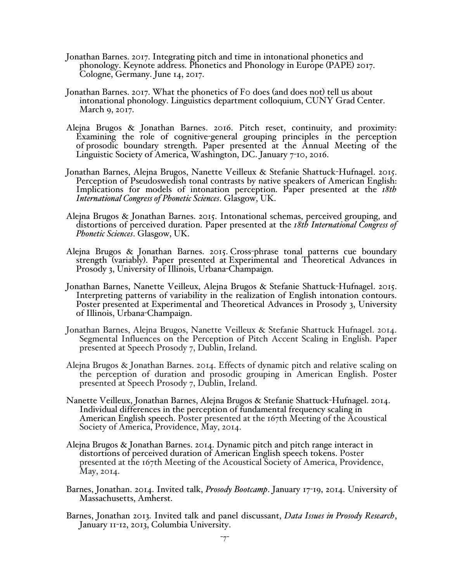- Jonathan Barnes. 2017. Integrating pitch and time in intonational phonetics and phonology. Keynote address. Phonetics and Phonology in Europe (PAPE) 2017. Cologne, Germany. June 14, 2017.
- Jonathan Barnes. 2017. What the phonetics of F0 does (and does not) tell us about intonational phonology. Linguistics department colloquium, CUNY Grad Center. March 9, 2017.
- Alejna Brugos & Jonathan Barnes. 2016. Pitch reset, continuity, and proximity: Examining the role of cognitive-general grouping principles in the perception of prosodic boundary strength. Paper presented at the Annual Meeting of the Linguistic Society of America, Washington, DC. January 7-10, 2016.
- Jonathan Barnes, Alejna Brugos, Nanette Veilleux & Stefanie Shattuck-Hufnagel. 2015. Perception of Pseudoswedish tonal contrasts by native speakers of American English: Implications for models of intonation perception. Paper presented at the *18th International Congress of Phonetic Sciences*. Glasgow, UK.
- Alejna Brugos & Jonathan Barnes. 2015. Intonational schemas, perceived grouping, and distortions of perceived duration. Paper presented at the *18th International Congress of Phonetic Sciences*. Glasgow, UK.
- Alejna Brugos & Jonathan Barnes. 2015. Cross-phrase tonal patterns cue boundary strength (variably). Paper presented at Experimental and Theoretical Advances in Prosody 3, University of Illinois, Urbana-Champaign.
- Jonathan Barnes, Nanette Veilleux, Alejna Brugos & Stefanie Shattuck-Hufnagel. 2015. Interpreting patterns of variability in the realization of English intonation contours. Poster presented at Experimental and Theoretical Advances in Prosody 3, University of Illinois, Urbana-Champaign.
- Jonathan Barnes, Alejna Brugos, Nanette Veilleux & Stefanie Shattuck Hufnagel. 2014. Segmental Influences on the Perception of Pitch Accent Scaling in English. Paper presented at Speech Prosody 7, Dublin, Ireland.
- Alejna Brugos & Jonathan Barnes. 2014. Effects of dynamic pitch and relative scaling on the perception of duration and prosodic grouping in American English. Poster presented at Speech Prosody 7, Dublin, Ireland.
- Nanette Veilleux, Jonathan Barnes, Alejna Brugos & Stefanie Shattuck-Hufnagel. 2014. Individual differences in the perception of fundamental frequency scaling in American English speech. Poster presented at the 167th Meeting of the Acoustical Society of America, Providence, May, 2014.
- Alejna Brugos & Jonathan Barnes. 2014. Dynamic pitch and pitch range interact in distortions of perceived duration of American English speech tokens. Poster presented at the 167th Meeting of the Acoustical Society of America, Providence, May, 2014.
- Barnes, Jonathan. 2014. Invited talk, *Prosody Bootcamp*. January 17-19, 2014. University of Massachusetts, Amherst.
- Barnes, Jonathan 2013. Invited talk and panel discussant, *Data Issues in Prosody Research*, January 11-12, 2013, Columbia University.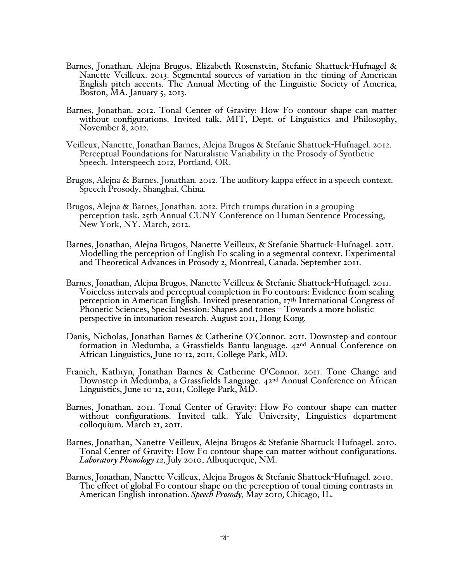- Barnes, Jonathan, Alejna Brugos, Elizabeth Rosenstein, Stefanie Shattuck-Hufnagel & Nanette Veilleux. 2013. Segmental sources of variation in the timing of American English pitch accents. The Annual Meeting of the Linguistic Society of America, Boston, MA. January 5, 2013.
- Barnes, Jonathan. 2012. Tonal Center of Gravity: How Fo contour shape can matter without configurations. Invited talk, MIT, Dept. of Linguistics and Philosophy, November 8, 2012.
- Veilleux, Nanette, Jonathan Barnes, Alejna Brugos & Stefanie Shattuck-Hufnagel. 2012. Perceptual Foundations for Naturalistic Variability in the Prosody of Synthetic Speech. Interspeech 2012, Portland, OR.
- Brugos, Alejna & Barnes, Jonathan. 2012. The auditory kappa effect in a speech context. Speech Prosody, Shanghai, China.
- Brugos, Alejna & Barnes, Jonathan. 2012. Pitch trumps duration in a grouping perception task. 25th Annual CUNY Conference on Human Sentence Processing, New York, NY. March, 2012.
- Barnes, Jonathan, Alejna Brugos, Nanette Veilleux, & Stefanie Shattuck-Hufnagel. 2011. Modelling the perception of English F0 scaling in a segmental context. Experimental and Theoretical Advances in Prosody 2, Montreal, Canada. September 2011.
- Barnes, Jonathan, Alejna Brugos, Nanette Veilleux & Stefanie Shattuck-Hufnagel. 2011. Voiceless intervals and perceptual completion in Fo contours: Evidence from scaling perception in American English. Invited presentation, 17th International Congress of Phonetic Sciences, Special Session: Shapes and tones – Towards a more holistic perspective in intonation research. August 2011, Hong Kong.
- Danis, Nicholas, Jonathan Barnes & Catherine O'Connor. 2011. Downstep and contour formation in Medumba, a Grassfields Bantu language. 42nd Annual Conference on African Linguistics, June 10-12, 2011, College Park, MD.
- Franich, Kathryn, Jonathan Barnes & Catherine O'Connor. 2011. Tone Change and Downstep in Medumba, a Grassfields Language. 42nd Annual Conference on African Linguistics, June 10-12, 2011, College Park, MD.
- Barnes, Jonathan. 2011. Tonal Center of Gravity: How Fo contour shape can matter without configurations. Invited talk. Yale University, Linguistics department colloquium. March 21, 2011.
- Barnes, Jonathan, Nanette Veilleux, Alejna Brugos & Stefanie Shattuck-Hufnagel. 2010. Tonal Center of Gravity: How F0 contour shape can matter without configurations. *Laboratory Phonology 12,* July 2010, Albuquerque, NM.
- Barnes, Jonathan, Nanette Veilleux, Alejna Brugos & Stefanie Shattuck-Hufnagel. 2010. The effect of global Fo contour shape on the perception of tonal timing contrasts in American English intonation. *Speech Prosody,* May 2010*,* Chicago, IL.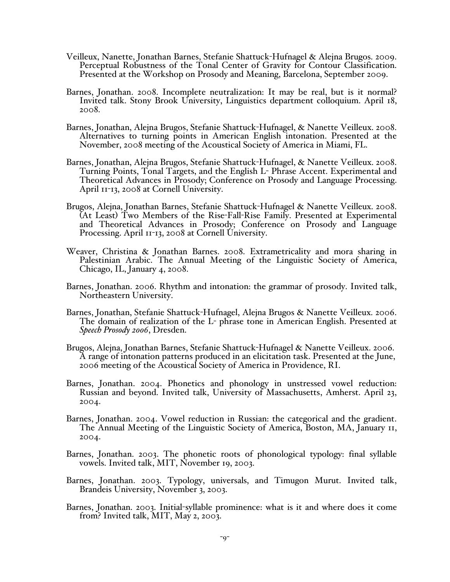- Veilleux, Nanette, Jonathan Barnes, Stefanie Shattuck-Hufnagel & Alejna Brugos. 2009. Perceptual Robustness of the Tonal Center of Gravity for Contour Classification. Presented at the Workshop on Prosody and Meaning, Barcelona, September 2009.
- Barnes, Jonathan. 2008. Incomplete neutralization: It may be real, but is it normal? Invited talk. Stony Brook University, Linguistics department colloquium. April 18, 2008.
- Barnes, Jonathan, Alejna Brugos, Stefanie Shattuck-Hufnagel, & Nanette Veilleux. 2008. Alternatives to turning points in American English intonation. Presented at the November, 2008 meeting of the Acoustical Society of America in Miami, FL.
- Barnes, Jonathan, Alejna Brugos, Stefanie Shattuck-Hufnagel, & Nanette Veilleux. 2008. Turning Points, Tonal Targets, and the English L- Phrase Accent. Experimental and Theoretical Advances in Prosody; Conference on Prosody and Language Processing. April 11-13, 2008 at Cornell University.
- Brugos, Alejna, Jonathan Barnes, Stefanie Shattuck-Hufnagel & Nanette Veilleux. 2008. (At Least) Two Members of the Rise-Fall-Rise Family. Presented at Experimental and Theoretical Advances in Prosody; Conference on Prosody and Language Processing. April 11-13, 2008 at Cornell University.
- Weaver, Christina & Jonathan Barnes. 2008. Extrametricality and mora sharing in Palestinian Arabic. The Annual Meeting of the Linguistic Society of America, Chicago, IL, January 4, 2008.
- Barnes, Jonathan. 2006. Rhythm and intonation: the grammar of prosody. Invited talk, Northeastern University.
- Barnes, Jonathan, Stefanie Shattuck-Hufnagel, Alejna Brugos & Nanette Veilleux. 2006. The domain of realization of the L- phrase tone in American English. Presented at *Speech Prosody 2006*, Dresden.
- Brugos, Alejna, Jonathan Barnes, Stefanie Shattuck-Hufnagel & Nanette Veilleux. 2006. A range of intonation patterns produced in an elicitation task. Presented at the June, 2006 meeting of the Acoustical Society of America in Providence, RI.
- Barnes, Jonathan. 2004. Phonetics and phonology in unstressed vowel reduction: Russian and beyond. Invited talk, University of Massachusetts, Amherst. April 23, 2004.
- Barnes, Jonathan. 2004. Vowel reduction in Russian: the categorical and the gradient. The Annual Meeting of the Linguistic Society of America, Boston, MA, January 11, 2004.
- Barnes, Jonathan. 2003. The phonetic roots of phonological typology: final syllable vowels. Invited talk, MIT, November 19, 2003.
- Barnes, Jonathan. 2003. Typology, universals, and Timugon Murut. Invited talk, Brandeis University, November 3, 2003.
- Barnes, Jonathan. 2003. Initial-syllable prominence: what is it and where does it come from? Invited talk, MIT, May 2, 2003.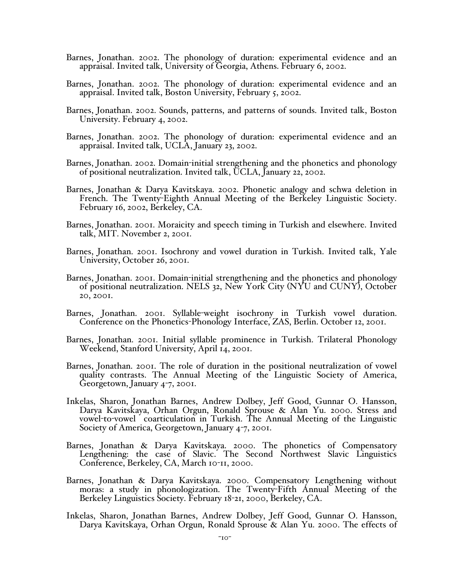- Barnes, Jonathan. 2002. The phonology of duration: experimental evidence and an appraisal. Invited talk, University of Georgia, Athens. February 6, 2002.
- Barnes, Jonathan. 2002. The phonology of duration: experimental evidence and an appraisal. Invited talk, Boston University, February 5, 2002.
- Barnes, Jonathan. 2002. Sounds, patterns, and patterns of sounds. Invited talk, Boston University. February 4, 2002.
- Barnes, Jonathan. 2002. The phonology of duration: experimental evidence and an appraisal. Invited talk, UCLA, January 23, 2002.
- Barnes, Jonathan. 2002. Domain-initial strengthening and the phonetics and phonology of positional neutralization. Invited talk, UCLA, January 22, 2002.
- Barnes, Jonathan & Darya Kavitskaya. 2002. Phonetic analogy and schwa deletion in French. The Twenty-Eighth Annual Meeting of the Berkeley Linguistic Society. February 16, 2002, Berkeley, CA.
- Barnes, Jonathan. 2001. Moraicity and speech timing in Turkish and elsewhere. Invited talk, MIT. November 2, 2001.
- Barnes, Jonathan. 2001. Isochrony and vowel duration in Turkish. Invited talk, Yale University, October 26, 2001.
- Barnes, Jonathan. 2001. Domain-initial strengthening and the phonetics and phonology of positional neutralization. NELS 32, New York City (NYU and CUNY), October 20, 2001.
- Barnes, Jonathan. 2001. Syllable-weight isochrony in Turkish vowel duration. Conference on the Phonetics-Phonology Interface, ZAS, Berlin. October 12, 2001.
- Barnes, Jonathan. 2001. Initial syllable prominence in Turkish. Trilateral Phonology Weekend, Stanford University, April 14, 2001.
- Barnes, Jonathan. 2001. The role of duration in the positional neutralization of vowel quality contrasts. The Annual Meeting of the Linguistic Society of America, Georgetown, January 4-7, 2001.
- Inkelas, Sharon, Jonathan Barnes, Andrew Dolbey, Jeff Good, Gunnar O. Hansson, Darya Kavitskaya, Orhan Orgun, Ronald Sprouse & Alan Yu. 2000. Stress and vowel-to-vowel coarticulation in Turkish. The Annual Meeting of the Linguistic Society of America, Georgetown, January 4-7, 2001.
- Barnes, Jonathan & Darya Kavitskaya. 2000. The phonetics of Compensatory Lengthening: the case of Slavic. The Second Northwest Slavic Linguistics Conference, Berkeley, CA, March 10-11, 2000.
- Barnes, Jonathan & Darya Kavitskaya. 2000. Compensatory Lengthening without moras: a study in phonologization. The Twenty-Fifth Annual Meeting of the Berkeley Linguistics Society. February 18-21, 2000, Berkeley, CA.
- Inkelas, Sharon, Jonathan Barnes, Andrew Dolbey, Jeff Good, Gunnar O. Hansson, Darya Kavitskaya, Orhan Orgun, Ronald Sprouse & Alan Yu. 2000. The effects of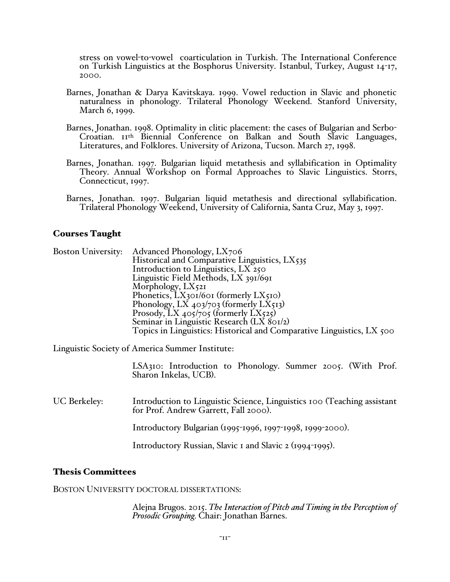stress on vowel-to-vowel coarticulation in Turkish. The International Conference on Turkish Linguistics at the Bosphorus University. Istanbul, Turkey, August 14-17, 2000.

- Barnes, Jonathan & Darya Kavitskaya. 1999. Vowel reduction in Slavic and phonetic naturalness in phonology. Trilateral Phonology Weekend. Stanford University, March 6, 1999.
- Barnes, Jonathan. 1998. Optimality in clitic placement: the cases of Bulgarian and Serbo-Croatian. 11th Biennial Conference on Balkan and South Slavic Languages, Literatures, and Folklores. University of Arizona, Tucson. March 27, 1998.
- Barnes, Jonathan. 1997. Bulgarian liquid metathesis and syllabification in Optimality Theory. Annual Workshop on Formal Approaches to Slavic Linguistics. Storrs, Connecticut, 1997.
- Barnes, Jonathan. 1997. Bulgarian liquid metathesis and directional syllabification. Trilateral Phonology Weekend, University of California, Santa Cruz, May 3, 1997.

## Courses Taught

| Advanced Phonology, LX706                                             |
|-----------------------------------------------------------------------|
| Historical and Comparative Linguistics, LX535                         |
| Introduction to Linguistics, LX 250                                   |
| Linguistic Field Methods, LX 391/691                                  |
| Morphology, $LX_{521}$                                                |
| Phonetics, LX301/601 (formerly LX510)                                 |
| Phonology, LX 403/703 (formerly LX513)                                |
| Prosody, LX $405/705$ (formerly LX525)                                |
| Seminar in Linguistic Research (LX 801/2)                             |
| Topics in Linguistics: Historical and Comparative Linguistics, LX 500 |
|                                                                       |

Linguistic Society of America Summer Institute:

LSA310: Introduction to Phonology. Summer 2005. (With Prof. Sharon Inkelas, UCB).

UC Berkeley: Introduction to Linguistic Science, Linguistics 100 (Teaching assistant for Prof. Andrew Garrett, Fall 2000).

Introductory Bulgarian (1995-1996, 1997-1998, 1999-2000).

Introductory Russian, Slavic 1 and Slavic 2 (1994-1995).

#### Thesis Committees

#### BOSTON UNIVERSITY DOCTORAL DISSERTATIONS:

Alejna Brugos. 2015. *The Interaction of Pitch and Timing in the Perception of Prosodic Grouping.* Chair: Jonathan Barnes.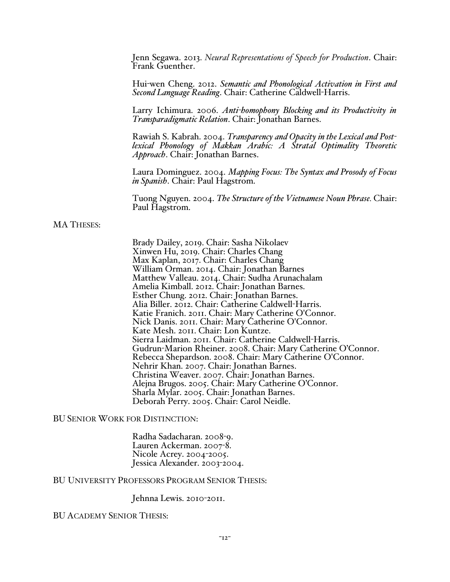Jenn Segawa. 2013. *Neural Representations of Speech for Production*. Chair: Frank Guenther.

Hui-wen Cheng. 2012. *Semantic and Phonological Activation in First and Second Language Reading*. Chair: Catherine Caldwell-Harris.

Larry Ichimura. 2006. *Anti-homophony Blocking and its Productivity in Transparadigmatic Relation*. Chair: Jonathan Barnes.

Rawiah S. Kabrah. 2004. *Transparency and Opacity in the Lexical and Postlexical Phonology of Makkan Arabic: A Stratal Optimality Theoretic Approach*. Chair: Jonathan Barnes.

Laura Dominguez. 2004. *Mapping Focus: The Syntax and Prosody of Focus in Spanish*. Chair: Paul Hagstrom.

Tuong Nguyen. 2004. *The Structure of the Vietnamese Noun Phrase.* Chair: Paul Hagstrom.

#### MA THESES:

Brady Dailey, 2019. Chair: Sasha Nikolaev Xinwen Hu, 2019. Chair: Charles Chang Max Kaplan, 2017. Chair: Charles Chang William Orman. 2014. Chair: Jonathan Barnes Matthew Valleau. 2014. Chair: Sudha Arunachalam Amelia Kimball. 2012. Chair: Jonathan Barnes. Esther Chung. 2012. Chair: Jonathan Barnes. Alia Biller. 2012. Chair: Catherine Caldwell-Harris. Katie Franich. 2011. Chair: Mary Catherine O'Connor. Nick Danis. 2011. Chair: Mary Catherine O'Connor. Kate Mesh. 2011. Chair: Lon Kuntze. Sierra Laidman. 2011. Chair: Catherine Caldwell-Harris. Gudrun-Marion Rheiner. 2008. Chair: Mary Catherine O'Connor. Rebecca Shepardson. 2008. Chair: Mary Catherine O'Connor. Nehrir Khan. 2007. Chair: Jonathan Barnes. Christina Weaver. 2007. Chair: Jonathan Barnes. Alejna Brugos. 2005. Chair: Mary Catherine O'Connor. Sharla Mylar. 2005. Chair: Jonathan Barnes. Deborah Perry. 2005. Chair: Carol Neidle.

BU SENIOR WORK FOR DISTINCTION:

Radha Sadacharan. 2008-9. Lauren Ackerman. 2007-8. Nicole Acrey. 2004-2005. Jessica Alexander. 2003-2004.

BU UNIVERSITY PROFESSORS PROGRAM SENIOR THESIS:

Jehnna Lewis. 2010-2011.

#### BU ACADEMY SENIOR THESIS: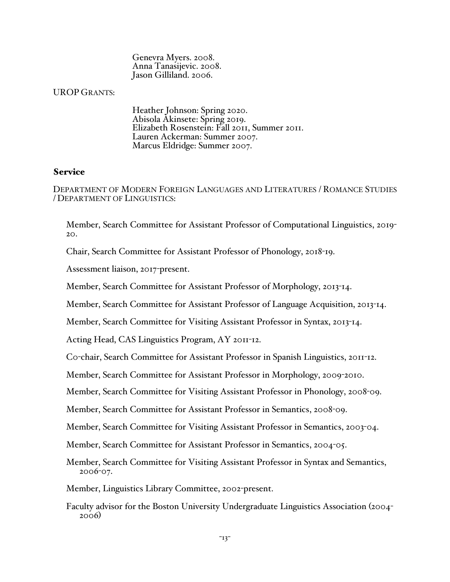Genevra Myers. 2008. Anna Tanasijevic. 2008. Jason Gilliland. 2006.

## UROP GRANTS:

Heather Johnson: Spring 2020. Abisola Akinsete: Spring 2019. Elizabeth Rosenstein: Fall 2011, Summer 2011. Lauren Ackerman: Summer 2007. Marcus Eldridge: Summer 2007.

## Service

DEPARTMENT OF MODERN FOREIGN LANGUAGES AND LITERATURES / ROMANCE STUDIES / DEPARTMENT OF LINGUISTICS:

Member, Search Committee for Assistant Professor of Computational Linguistics, 2019- 20.

Chair, Search Committee for Assistant Professor of Phonology, 2018-19.

Assessment liaison, 2017-present.

Member, Search Committee for Assistant Professor of Morphology, 2013-14.

Member, Search Committee for Assistant Professor of Language Acquisition, 2013-14.

Member, Search Committee for Visiting Assistant Professor in Syntax, 2013-14.

Acting Head, CAS Linguistics Program, AY 2011-12.

C0-chair, Search Committee for Assistant Professor in Spanish Linguistics, 2011-12.

Member, Search Committee for Assistant Professor in Morphology, 2009-2010.

Member, Search Committee for Visiting Assistant Professor in Phonology, 2008-09.

Member, Search Committee for Assistant Professor in Semantics, 2008-09.

Member, Search Committee for Visiting Assistant Professor in Semantics, 2003-04.

Member, Search Committee for Assistant Professor in Semantics, 2004-05.

Member, Search Committee for Visiting Assistant Professor in Syntax and Semantics, 2006-07.

Member, Linguistics Library Committee, 2002-present.

Faculty advisor for the Boston University Undergraduate Linguistics Association (2004- 2006)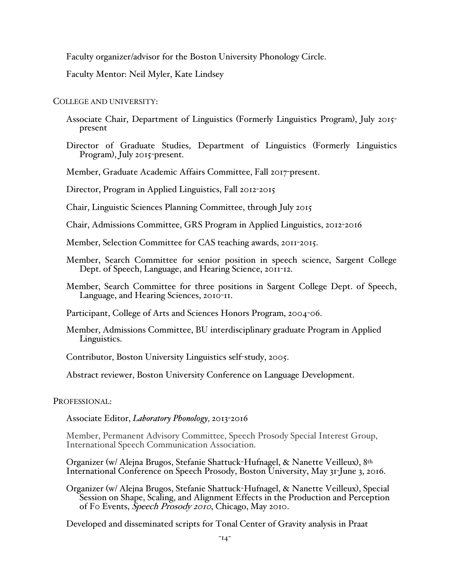Faculty organizer/advisor for the Boston University Phonology Circle.

Faculty Mentor: Neil Myler, Kate Lindsey

COLLEGE AND UNIVERSITY:

- Associate Chair, Department of Linguistics (Formerly Linguistics Program), July 2015 present
- Director of Graduate Studies, Department of Linguistics (Formerly Linguistics Program), July 2015-present.

Member, Graduate Academic Affairs Committee, Fall 2017-present.

Director, Program in Applied Linguistics, Fall 2012-2015

Chair, Linguistic Sciences Planning Committee, through July 2015

Chair, Admissions Committee, GRS Program in Applied Linguistics, 2012-2016

Member, Selection Committee for CAS teaching awards, 2011-2015.

- Member, Search Committee for senior position in speech science, Sargent College Dept. of Speech, Language, and Hearing Science, 2011-12.
- Member, Search Committee for three positions in Sargent College Dept. of Speech, Language, and Hearing Sciences, 2010-11.

Participant, College of Arts and Sciences Honors Program, 2004-06.

Member, Admissions Committee, BU interdisciplinary graduate Program in Applied Linguistics.

Contributor, Boston University Linguistics self-study, 2005.

Abstract reviewer, Boston University Conference on Language Development.

PROFESSIONAL:

Associate Editor, *Laboratory Phonol0gy,* 2013-2016

Member, Permanent Advisory Committee, Speech Prosody Special Interest Group, International Speech Communication Association.

Organizer (w/ Alejna Brugos, Stefanie Shattuck-Hufnagel, & Nanette Veilleux), 8th International Conference on Speech Prosody, Boston University, May 31-June 3, 2016.

Organizer (w/ Alejna Brugos, Stefanie Shattuck-Hufnagel, & Nanette Veilleux), Special Session on Shape, Scaling, and Alignment Effects in the Production and Perception of F0 Events, Speech Prosody 2010, Chicago, May 2010.

Developed and disseminated scripts for Tonal Center of Gravity analysis in Praat